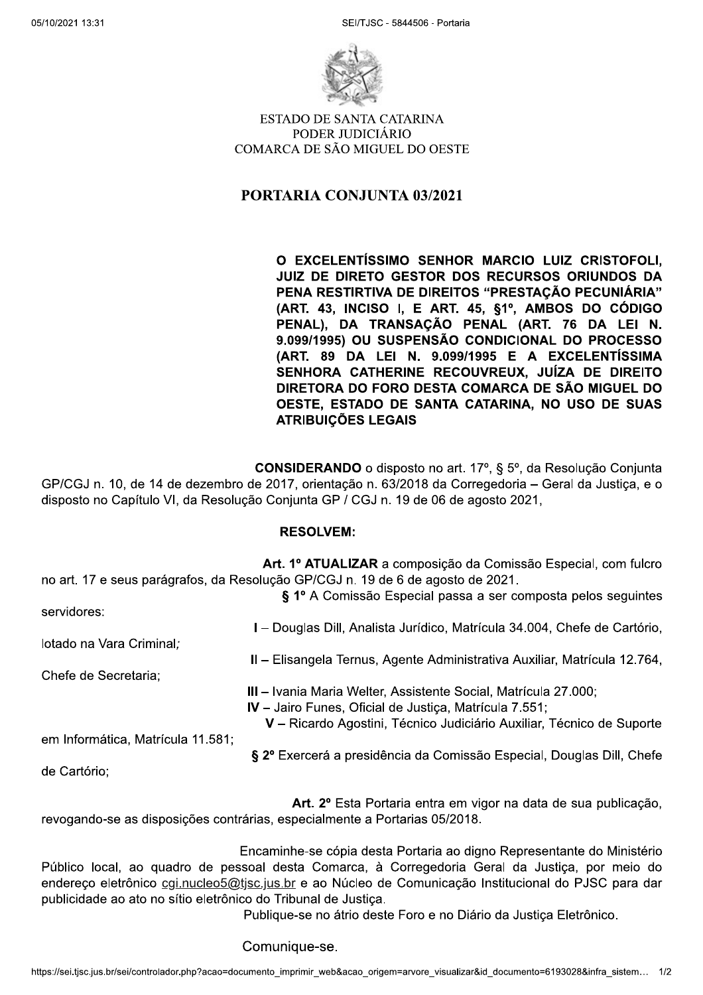

ESTADO DE SANTA CATARINA PODER JUDICIÁRIO COMARCA DE SÃO MIGUEL DO OESTE

## PORTARIA CONJUNTA 03/2021

O EXCELENTÍSSIMO SENHOR MARCIO LUIZ CRISTOFOLI, JUIZ DE DIRETO GESTOR DOS RECURSOS ORIUNDOS DA PENA RESTIRTIVA DE DIREITOS "PRESTAÇÃO PECUNIÁRIA"  $(ART. 43. INCISO I. E ART. 45. §1°. AMBOS DO CÓDIGO)$ PENAL), DA TRANSAÇÃO PENAL (ART. 76 DA LEI N. 9.099/1995) OU SUSPENSÃO CONDICIONAL DO PROCESSO  $A$ RT. 89 DA LEI N. 9.099/1995 E A EXCELENTÍSSIMA SENHORA CATHERINE RECOUVREUX, JUÍZA DE DIREITO DIRETORA DO FORO DESTA COMARCA DE SÃO MIGUEL DO OESTE, ESTADO DE SANTA CATARINA, NO USO DE SUAS ATRIBUIÇÕES LEGAIS

**CONSIDERANDO** o disposto no art. 17°, § 5°, da Resolução Conjunta GP/CGJ n. 10, de 14 de dezembro de 2017, orientação n. 63/2018 da Corregedoria – Geral da Justiça, e o disposto no Capitulo VI, da Resolução Conjunta GP / CGJ n. 19 de 06 de agosto 2021,

## RESOLVEM:

|                                   | Art. 1º ATUALIZAR a composição da Comissão Especial, com fulcro<br>no art. 17 e seus parágrafos, da Resolução GP/CGJ n. 19 de 6 de agosto de 2021. |
|-----------------------------------|----------------------------------------------------------------------------------------------------------------------------------------------------|
|                                   | § 1º A Comissão Especial passa a ser composta pelos seguintes                                                                                      |
| servidores:                       |                                                                                                                                                    |
|                                   | I – Douglas Dill, Analista Jurídico, Matrícula 34.004, Chefe de Cartório,                                                                          |
| lotado na Vara Criminal,          |                                                                                                                                                    |
|                                   | II - Elisangela Ternus, Agente Administrativa Auxiliar, Matrícula 12.764,                                                                          |
| Chefe de Secretaria;              |                                                                                                                                                    |
|                                   | III - Ivania Maria Welter, Assistente Social, Matrícula 27.000;                                                                                    |
|                                   | IV - Jairo Funes, Oficial de Justiça, Matrícula 7.551;                                                                                             |
|                                   | V - Ricardo Agostini, Técnico Judiciário Auxiliar, Técnico de Suporte                                                                              |
| em Informática, Matrícula 11.581; |                                                                                                                                                    |
|                                   | § 2º Exercerá a presidência da Comissão Especial, Douglas Dill, Chefe                                                                              |
| de Cartório:                      |                                                                                                                                                    |
|                                   |                                                                                                                                                    |
|                                   |                                                                                                                                                    |

Art. 2º Esta Portaria entra em vigor na data de sua publicação, revogando-se as disposições contrarias, especialmente a Portarias 05/2018.

nico <u>cgi,nucleo5@tjsc.jus.br</u> e ao Nucleo de Comunicação Institucional do PJSC para dar<br>ato no sítio eletrônico do Tribunal de Justiça.<br>Publique-se no átrio deste Foro e no Diário da Justiça Eletrônico.<br>Comunique-se.<br>cont Encaminhe-se cópia desta Portaria ao digno Representante do Ministério Público local, ao quadro de pessoal desta Comarca, à Corregedoria Geral da Justiça, por meio do endereço eletronico <u>cgi.nucleo5@tjsc.jus.br</u> e ao Nucleo de Comunicação Institucional do PJSC para dar publicidade ao ato no sítio eletrônico do Tribunal de Justica.

Publique-se no átrio deste Foro e no Diário da Justica Eletrônico.

Comunique-se.